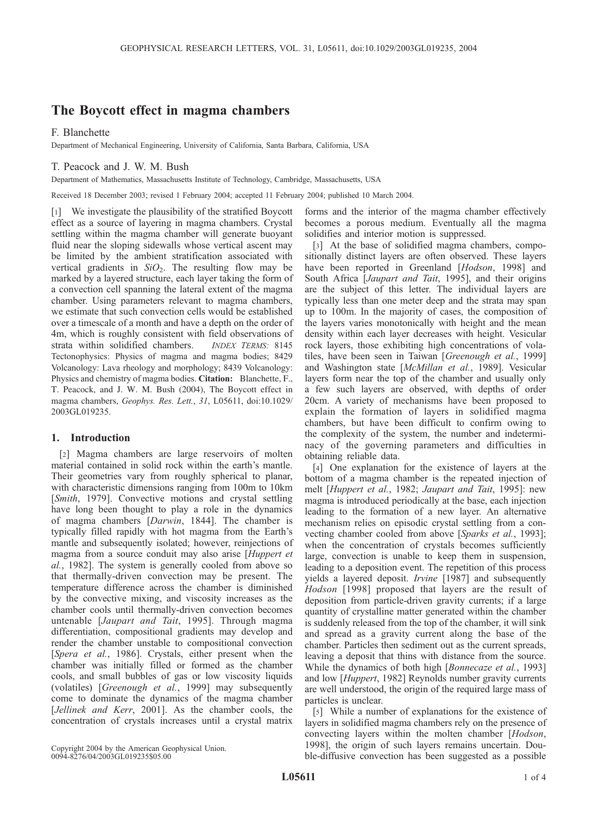# The Boycott effect in magma chambers

## F. Blanchette

Department of Mechanical Engineering, University of California, Santa Barbara, California, USA

## T. Peacock and J. W. M. Bush

Department of Mathematics, Massachusetts Institute of Technology, Cambridge, Massachusetts, USA

Received 18 December 2003; revised 1 February 2004; accepted 11 February 2004; published 10 March 2004.

[1] We investigate the plausibility of the stratified Boycott effect as a source of layering in magma chambers. Crystal settling within the magma chamber will generate buoyant fluid near the sloping sidewalls whose vertical ascent may be limited by the ambient stratification associated with vertical gradients in  $SiO<sub>2</sub>$ . The resulting flow may be marked by a layered structure, each layer taking the form of a convection cell spanning the lateral extent of the magma chamber. Using parameters relevant to magma chambers, we estimate that such convection cells would be established over a timescale of a month and have a depth on the order of 4m, which is roughly consistent with field observations of strata within solidified chambers. INDEX TERMS: 8145 Tectonophysics: Physics of magma and magma bodies; 8429 Volcanology: Lava rheology and morphology; 8439 Volcanology: Physics and chemistry of magma bodies. Citation: Blanchette, F., T. Peacock, and J. W. M. Bush (2004), The Boycott effect in magma chambers, Geophys. Res. Lett., 31, L05611, doi:10.1029/ 2003GL019235.

## 1. Introduction

[2] Magma chambers are large reservoirs of molten material contained in solid rock within the earth's mantle. Their geometries vary from roughly spherical to planar, with characteristic dimensions ranging from 100m to 10km [Smith, 1979]. Convective motions and crystal settling have long been thought to play a role in the dynamics of magma chambers [Darwin, 1844]. The chamber is typically filled rapidly with hot magma from the Earth's mantle and subsequently isolated; however, reinjections of magma from a source conduit may also arise [Huppert et al., 1982]. The system is generally cooled from above so that thermally-driven convection may be present. The temperature difference across the chamber is diminished by the convective mixing, and viscosity increases as the chamber cools until thermally-driven convection becomes untenable [*Jaupart and Tait*, 1995]. Through magma differentiation, compositional gradients may develop and render the chamber unstable to compositional convection [Spera et al., 1986]. Crystals, either present when the chamber was initially filled or formed as the chamber cools, and small bubbles of gas or low viscosity liquids (volatiles) [Greenough et al., 1999] may subsequently come to dominate the dynamics of the magma chamber [Jellinek and Kerr, 2001]. As the chamber cools, the concentration of crystals increases until a crystal matrix

forms and the interior of the magma chamber effectively becomes a porous medium. Eventually all the magma solidifies and interior motion is suppressed.

[3] At the base of solidified magma chambers, compositionally distinct layers are often observed. These layers have been reported in Greenland [Hodson, 1998] and South Africa [*Jaupart and Tait*, 1995], and their origins are the subject of this letter. The individual layers are typically less than one meter deep and the strata may span up to 100m. In the majority of cases, the composition of the layers varies monotonically with height and the mean density within each layer decreases with height. Vesicular rock layers, those exhibiting high concentrations of volatiles, have been seen in Taiwan [Greenough et al., 1999] and Washington state [McMillan et al., 1989]. Vesicular layers form near the top of the chamber and usually only a few such layers are observed, with depths of order 20cm. A variety of mechanisms have been proposed to explain the formation of layers in solidified magma chambers, but have been difficult to confirm owing to the complexity of the system, the number and indeterminacy of the governing parameters and difficulties in obtaining reliable data.

[4] One explanation for the existence of layers at the bottom of a magma chamber is the repeated injection of melt [Huppert et al., 1982; Jaupart and Tait, 1995]: new magma is introduced periodically at the base, each injection leading to the formation of a new layer. An alternative mechanism relies on episodic crystal settling from a convecting chamber cooled from above [Sparks et al., 1993]; when the concentration of crystals becomes sufficiently large, convection is unable to keep them in suspension, leading to a deposition event. The repetition of this process yields a layered deposit. *Irvine* [1987] and subsequently Hodson [1998] proposed that layers are the result of deposition from particle-driven gravity currents; if a large quantity of crystalline matter generated within the chamber is suddenly released from the top of the chamber, it will sink and spread as a gravity current along the base of the chamber. Particles then sediment out as the current spreads, leaving a deposit that thins with distance from the source. While the dynamics of both high [*Bonnecaze et al.*, 1993] and low [Huppert, 1982] Reynolds number gravity currents are well understood, the origin of the required large mass of particles is unclear.

[5] While a number of explanations for the existence of layers in solidified magma chambers rely on the presence of convecting layers within the molten chamber [Hodson, 1998], the origin of such layers remains uncertain. Double-diffusive convection has been suggested as a possible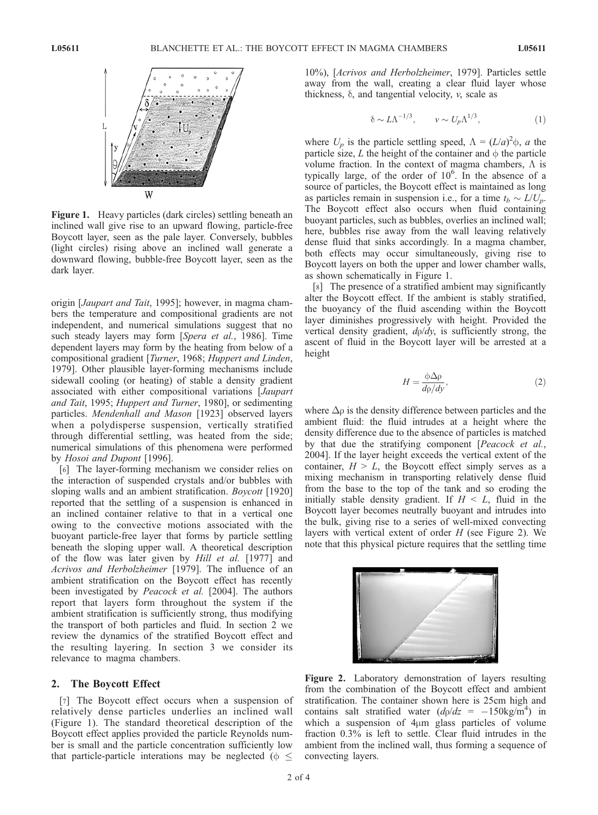

Figure 1. Heavy particles (dark circles) settling beneath an inclined wall give rise to an upward flowing, particle-free Boycott layer, seen as the pale layer. Conversely, bubbles (light circles) rising above an inclined wall generate a downward flowing, bubble-free Boycott layer, seen as the dark layer.

origin [*Jaupart and Tait*, 1995]; however, in magma chambers the temperature and compositional gradients are not independent, and numerical simulations suggest that no such steady layers may form [Spera et al., 1986]. Time dependent layers may form by the heating from below of a compositional gradient [Turner, 1968; Huppert and Linden, 1979]. Other plausible layer-forming mechanisms include sidewall cooling (or heating) of stable a density gradient associated with either compositional variations [Jaupart and Tait, 1995; Huppert and Turner, 1980], or sedimenting particles. Mendenhall and Mason [1923] observed layers when a polydisperse suspension, vertically stratified through differential settling, was heated from the side; numerical simulations of this phenomena were performed by Hosoi and Dupont [1996].

[6] The layer-forming mechanism we consider relies on the interaction of suspended crystals and/or bubbles with sloping walls and an ambient stratification. *Boycott* [1920] reported that the settling of a suspension is enhanced in an inclined container relative to that in a vertical one owing to the convective motions associated with the buoyant particle-free layer that forms by particle settling beneath the sloping upper wall. A theoretical description of the flow was later given by *Hill et al.* [1977] and Acrivos and Herbolzheimer [1979]. The influence of an ambient stratification on the Boycott effect has recently been investigated by *Peacock et al.* [2004]. The authors report that layers form throughout the system if the ambient stratification is sufficiently strong, thus modifying the transport of both particles and fluid. In section 2 we review the dynamics of the stratified Boycott effect and the resulting layering. In section 3 we consider its relevance to magma chambers.

#### 2. The Boycott Effect

[7] The Boycott effect occurs when a suspension of relatively dense particles underlies an inclined wall (Figure 1). The standard theoretical description of the Boycott effect applies provided the particle Reynolds number is small and the particle concentration sufficiently low that particle-particle interations may be neglected ( $\phi \leq$ 

10%), [Acrivos and Herbolzheimer, 1979]. Particles settle away from the wall, creating a clear fluid layer whose thickness,  $\delta$ , and tangential velocity,  $\nu$ , scale as

$$
\delta \sim L\Lambda^{-1/3}, \qquad \nu \sim U_p\Lambda^{1/3}, \tag{1}
$$

where  $U_p$  is the particle settling speed,  $\Lambda = (L/a)^2 \phi$ , a the particle size, L the height of the container and  $\phi$  the particle volume fraction. In the context of magma chambers,  $\Lambda$  is typically large, of the order of  $10^6$ . In the absence of a source of particles, the Boycott effect is maintained as long as particles remain in suspension i.e., for a time  $t_b \sim L/U_p$ . The Boycott effect also occurs when fluid containing buoyant particles, such as bubbles, overlies an inclined wall; here, bubbles rise away from the wall leaving relatively dense fluid that sinks accordingly. In a magma chamber, both effects may occur simultaneously, giving rise to Boycott layers on both the upper and lower chamber walls, as shown schematically in Figure 1.

[8] The presence of a stratified ambient may significantly alter the Boycott effect. If the ambient is stably stratified, the buoyancy of the fluid ascending within the Boycott layer diminishes progressively with height. Provided the vertical density gradient,  $d\rho/dy$ , is sufficiently strong, the ascent of fluid in the Boycott layer will be arrested at a height

$$
H = \frac{\phi \Delta \rho}{d\rho/dy},\tag{2}
$$

where  $\Delta \rho$  is the density difference between particles and the ambient fluid: the fluid intrudes at a height where the density difference due to the absence of particles is matched by that due the stratifying component [Peacock et al., 2004]. If the layer height exceeds the vertical extent of the container,  $H > L$ , the Boycott effect simply serves as a mixing mechanism in transporting relatively dense fluid from the base to the top of the tank and so eroding the initially stable density gradient. If  $H \leq L$ , fluid in the Boycott layer becomes neutrally buoyant and intrudes into the bulk, giving rise to a series of well-mixed convecting layers with vertical extent of order  $H$  (see Figure 2). We note that this physical picture requires that the settling time



Figure 2. Laboratory demonstration of layers resulting from the combination of the Boycott effect and ambient stratification. The container shown here is 25cm high and contains salt stratified water  $(d\rho/dz = -150 \text{kg/m}^4)$  in which a suspension of  $4\mu$ m glass particles of volume fraction 0.3% is left to settle. Clear fluid intrudes in the ambient from the inclined wall, thus forming a sequence of convecting layers.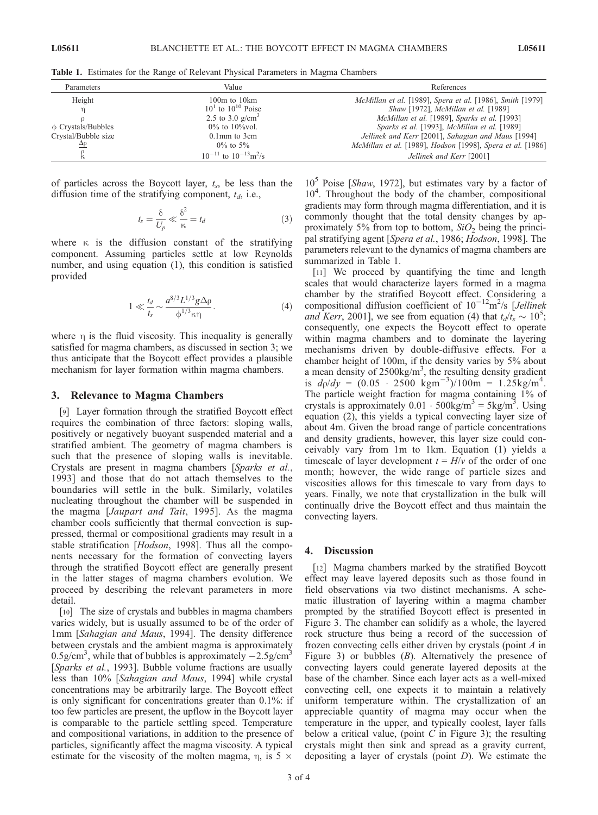Table 1. Estimates for the Range of Relevant Physical Parameters in Magma Chambers

| Parameters              | Value                                      | References                                                 |
|-------------------------|--------------------------------------------|------------------------------------------------------------|
| Height                  | $100m$ to $10km$                           | McMillan et al. [1989], Spera et al. [1986], Smith [1979]  |
|                         | $10^1$ to $10^{10}$ Poise                  | Shaw [1972], McMillan et al. [1989]                        |
|                         | 2.5 to 3.0 $g/cm^{3}$                      | McMillan et al. [1989], Sparks et al. [1993]               |
| $\phi$ Crystals/Bubbles | $0\%$ to $10\%$ vol.                       | Sparks et al. [1993], McMillan et al. [1989]               |
| Crystal/Bubble size     | $0.1$ mm to $3$ cm                         | Jellinek and Kerr [2001], Sahagian and Maus [1994]         |
|                         | $0\%$ to 5%                                | McMillan et al. [1989], Hodson [1998], Spera et al. [1986] |
|                         | $10^{-11}$ to $10^{-13}$ m <sup>2</sup> /s | Jellinek and Kerr [2001]                                   |

of particles across the Boycott layer,  $t_s$ , be less than the diffusion time of the stratifying component,  $t_d$ , i.e.,

$$
t_s = \frac{\delta}{U_p} \ll \frac{\delta^2}{\kappa} = t_d \tag{3}
$$

where  $\kappa$  is the diffusion constant of the stratifying component. Assuming particles settle at low Reynolds number, and using equation (1), this condition is satisfied provided

$$
1 \ll \frac{t_d}{t_s} \sim \frac{a^{8/3} L^{1/3} g \Delta \rho}{\phi^{1/3} \kappa \eta}.
$$
 (4)

where  $\eta$  is the fluid viscosity. This inequality is generally satisfied for magma chambers, as discussed in section 3; we thus anticipate that the Boycott effect provides a plausible mechanism for layer formation within magma chambers.

#### 3. Relevance to Magma Chambers

[9] Layer formation through the stratified Boycott effect requires the combination of three factors: sloping walls, positively or negatively buoyant suspended material and a stratified ambient. The geometry of magma chambers is such that the presence of sloping walls is inevitable. Crystals are present in magma chambers [Sparks et al., 1993] and those that do not attach themselves to the boundaries will settle in the bulk. Similarly, volatiles nucleating throughout the chamber will be suspended in the magma [Jaupart and Tait, 1995]. As the magma chamber cools sufficiently that thermal convection is suppressed, thermal or compositional gradients may result in a stable stratification [*Hodson*, 1998]. Thus all the components necessary for the formation of convecting layers through the stratified Boycott effect are generally present in the latter stages of magma chambers evolution. We proceed by describing the relevant parameters in more detail.

[10] The size of crystals and bubbles in magma chambers varies widely, but is usually assumed to be of the order of 1mm [Sahagian and Maus, 1994]. The density difference between crystals and the ambient magma is approximately 0.5g/cm<sup>3</sup>, while that of bubbles is approximately  $-2.5$ g/cm<sup>3</sup> [Sparks et al., 1993]. Bubble volume fractions are usually less than 10% [Sahagian and Maus, 1994] while crystal concentrations may be arbitrarily large. The Boycott effect is only significant for concentrations greater than 0.1%: if too few particles are present, the upflow in the Boycott layer is comparable to the particle settling speed. Temperature and compositional variations, in addition to the presence of particles, significantly affect the magma viscosity. A typical estimate for the viscosity of the molten magma,  $\eta$ , is 5  $\times$ 

 $10<sup>5</sup>$  Poise [*Shaw*, 1972], but estimates vary by a factor of 10<sup>4</sup>. Throughout the body of the chamber, compositional gradients may form through magma differentiation, and it is commonly thought that the total density changes by approximately 5% from top to bottom,  $SiO<sub>2</sub>$  being the principal stratifying agent [Spera et al., 1986; Hodson, 1998]. The parameters relevant to the dynamics of magma chambers are summarized in Table 1.

[11] We proceed by quantifying the time and length scales that would characterize layers formed in a magma chamber by the stratified Boycott effect. Considering a compositional diffusion coefficient of  $10^{-12}$ m<sup>2</sup>/s [Jellinek and Kerr, 2001], we see from equation (4) that  $t_d/t_s \sim 10^5$ ; consequently, one expects the Boycott effect to operate within magma chambers and to dominate the layering mechanisms driven by double-diffusive effects. For a chamber height of 100m, if the density varies by 5% about a mean density of  $2500 \text{kg/m}^3$ , the resulting density gradient is  $d\rho/dy = (0.05 \cdot 2500 \text{ kgm}^{-3})/100 \text{m} = 1.25 \text{kg/m}^4$ . The particle weight fraction for magma containing 1% of crystals is approximately  $0.01 \cdot 500$ kg/m<sup>3</sup> = 5kg/m<sup>3</sup>. Using equation (2), this yields a typical convecting layer size of about 4m. Given the broad range of particle concentrations and density gradients, however, this layer size could conceivably vary from 1m to 1km. Equation (1) yields a timescale of layer development  $t = H/v$  of the order of one month; however, the wide range of particle sizes and viscosities allows for this timescale to vary from days to years. Finally, we note that crystallization in the bulk will continually drive the Boycott effect and thus maintain the convecting layers.

### 4. Discussion

[12] Magma chambers marked by the stratified Boycott effect may leave layered deposits such as those found in field observations via two distinct mechanisms. A schematic illustration of layering within a magma chamber prompted by the stratified Boycott effect is presented in Figure 3. The chamber can solidify as a whole, the layered rock structure thus being a record of the succession of frozen convecting cells either driven by crystals (point A in Figure 3) or bubbles  $(B)$ . Alternatively the presence of convecting layers could generate layered deposits at the base of the chamber. Since each layer acts as a well-mixed convecting cell, one expects it to maintain a relatively uniform temperature within. The crystallization of an appreciable quantity of magma may occur when the temperature in the upper, and typically coolest, layer falls below a critical value, (point  $C$  in Figure 3); the resulting crystals might then sink and spread as a gravity current, depositing a layer of crystals (point  $D$ ). We estimate the